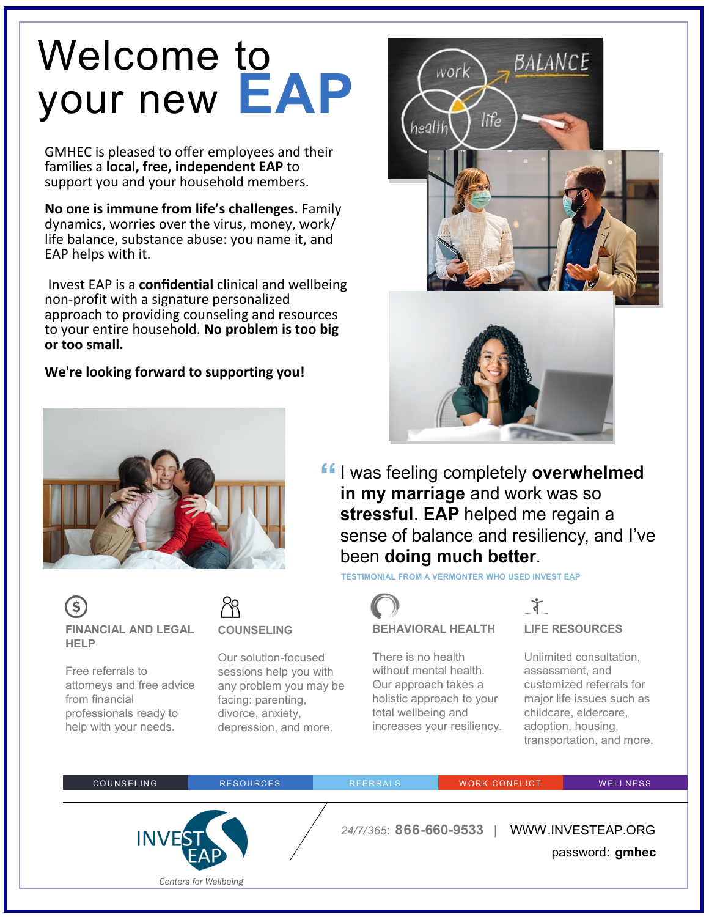# Welcome to your new **EAP**

GMHEC is pleased to offer employees and their families a **local, free, independent EAP** to support you and your household members.

**No one is immune from life's challenges.** Family dynamics, worries over the virus, money, work/ life balance, substance abuse: you name it, and EAP helps with it.

 Invest EAP is a **confidential** clinical and wellbeing non-profit with a signature personalized approach to providing counseling and resources to your entire household. **No problem is too big or too small.** 

#### **We're looking forward to supporting you!**



**COUNSELING**

Our solution-focused sessions help you with any problem you may be

facing: parenting, divorce, anxiety, depression, and more.

**FINANCIAL AND LEGAL** 

attorneys and free advice

professionals ready to help with your needs.

Free referrals to

from financial

**HELP**



**<sup>ff</sup>** I was feeling completely **overwhelmed**<br>
in my marriage and work was so **in my marriage** and work was so **stressful**. **EAP** helped me regain a sense of balance and resiliency, and I've been **doing much better**.

**TESTIMONIAL FROM A VERMONTER WHO USED INVEST EAP** 



There is no health without mental health. Our approach takes a holistic approach to your total wellbeing and increases your resiliency.



Unlimited consultation, assessment, and customized referrals for major life issues such as childcare, eldercare, adoption, housing, transportation, and more.